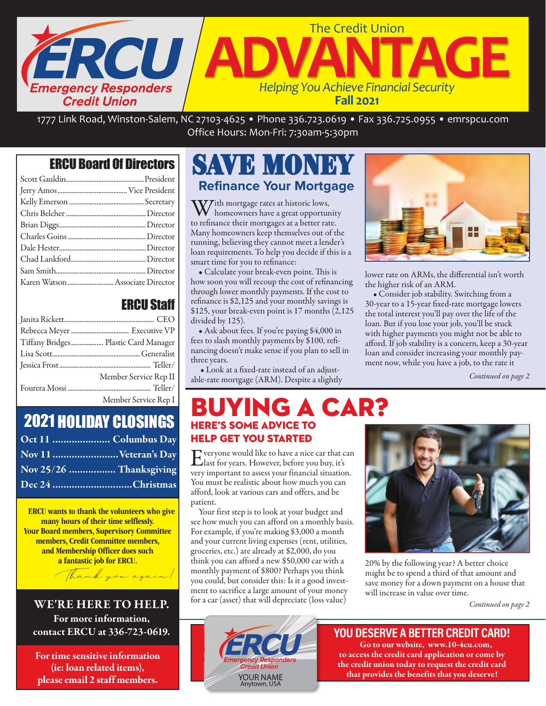

1777 Link Road, Winston-Salem, NC 27103-4625 • Phone 336.723.0619 • Fax 336.725.0955 • emrspcu.com Office Hours: Mon-Fri: 7:30am-5:30pm

#### ERCU Board Of Directors

#### ERCU Staff

| Tiffany Bridges Plastic Card Manager |
|--------------------------------------|
|                                      |
|                                      |
| Member Service Rep II                |
|                                      |
| Member Service Rep I                 |

### 2021 HOLIDAY CLOSINGS

| Oct 11  Columbus Day    |
|-------------------------|
| Nov 11  Veteran's Day   |
| Nov 25/26  Thanksgiving |
| Dec 24 Christmas        |

ERCU wants to thank the volunteers who give many hours of their time selflessly. Your Board members, Supervisory Committee members, Credit Committee members, and Membership Officer does such a fantastic job for ERCU.

WE'RE HERE TO HELP. For more information, contact ERCU at 336-723-0619.

Thank you again!

For time sensitive information (ie: loan related items), please email 2 staff members.

# SAVE MONEY  **Refinance Your Mortgage**

 $\mathbf{W}$  ith mortgage rates at historic lows, homeowners have a great opportunity to refinance their mortgages at a better rate. Many homeowners keep themselves out of the running, believing they cannot meet a lender's loan requirements. To help you decide if this is a smart time for you to refinance:

• Calculate your break-even point. This is how soon you will recoup the cost of refinancing through lower monthly payments. If the cost to refinance is \$2,125 and your monthly savings is \$125, your break-even point is 17 months (2,125 divided by 125).

• Ask about fees. If you're paying \$4,000 in fees to slash monthly payments by \$100, refinancing doesn't make sense if you plan to sell in three years.

 • Look at a fixed-rate instead of an adjustable-rate mortgage (ARM). Despite a slightly



lower rate on ARMs, the differential isn't worth the higher risk of an ARM.

• Consider job stability. Switching from a 30-year to a 15-year fixed-rate mortgage lowers the total interest you'll pay over the life of the loan. But if you lose your job, you'll be stuck with higher payments you might not be able to afford. If job stability is a concern, keep a 30-year loan and consider increasing your monthly payment now, while you have a job, to the rate it

*Continued on page 2*

#### NG A CAR? HERE'S SOME ADVICE TO HELP GET YOU STARTED

Everyone would like to have a nice car that can<br>
last for years. However, before you buy, it's very important to assess your financial situation. You must be realistic about how much you can afford, look at various cars and offers, and be patient.

Your first step is to look at your budget and see how much you can afford on a monthly basis. For example, if you're making \$3,000 a month and your current living expenses (rent, utilities, groceries, etc.) are already at \$2,000, do you think you can afford a new \$50,000 car with a monthly payment of \$800? Perhaps you think you could, but consider this: Is it a good investment to sacrifice a large amount of your money for a car (asset) that will depreciate (loss value)



20% by the following year? A better choice might be to spend a third of that amount and save money for a down payment on a house that will increase in value over time.

*Continued on page 2*

#### YOU DESERVE A BETTER CREDIT CARD!

Go to our website, www.10-4cu.com, to access the credit card application or come by the credit union today to request the credit card that provides the benefits that you deserve!